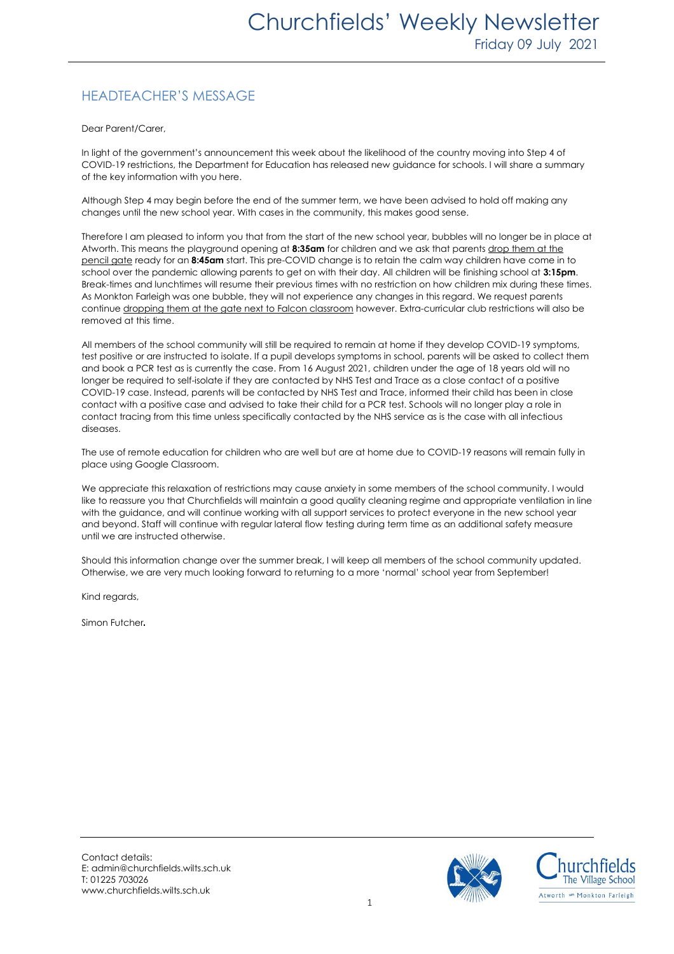## HEADTEACHER'S MESSAGE

Dear Parent/Carer,

In light of the government's announcement this week about the likelihood of the country moving into Step 4 of COVID-19 restrictions, the Department for Education has released new guidance for schools. I will share a summary of the key information with you here.

Although Step 4 may begin before the end of the summer term, we have been advised to hold off making any changes until the new school year. With cases in the community, this makes good sense.

Therefore I am pleased to inform you that from the start of the new school year, bubbles will no longer be in place at Atworth. This means the playground opening at **8:35am** for children and we ask that parents drop them at the pencil gate ready for an **8:45am** start. This pre-COVID change is to retain the calm way children have come in to school over the pandemic allowing parents to get on with their day. All children will be finishing school at **3:15pm**. Break-times and lunchtimes will resume their previous times with no restriction on how children mix during these times. As Monkton Farleigh was one bubble, they will not experience any changes in this regard. We request parents continue dropping them at the gate next to Falcon classroom however. Extra-curricular club restrictions will also be removed at this time.

All members of the school community will still be required to remain at home if they develop COVID-19 symptoms, test positive or are instructed to isolate. If a pupil develops symptoms in school, parents will be asked to collect them and book a PCR test as is currently the case. From 16 August 2021, children under the age of 18 years old will no longer be required to self-isolate if they are contacted by NHS Test and Trace as a close contact of a positive COVID-19 case. Instead, parents will be contacted by NHS Test and Trace, informed their child has been in close contact with a positive case and advised to take their child for a PCR test. Schools will no longer play a role in contact tracing from this time unless specifically contacted by the NHS service as is the case with all infectious diseases.

The use of remote education for children who are well but are at home due to COVID-19 reasons will remain fully in place using Google Classroom.

We appreciate this relaxation of restrictions may cause anxiety in some members of the school community. I would like to reassure you that Churchfields will maintain a good quality cleaning regime and appropriate ventilation in line with the guidance, and will continue working with all support services to protect everyone in the new school year and beyond. Staff will continue with regular lateral flow testing during term time as an additional safety measure until we are instructed otherwise.

Should this information change over the summer break, I will keep all members of the school community updated. Otherwise, we are very much looking forward to returning to a more 'normal' school year from September!

Kind regards,

Simon Futcher.

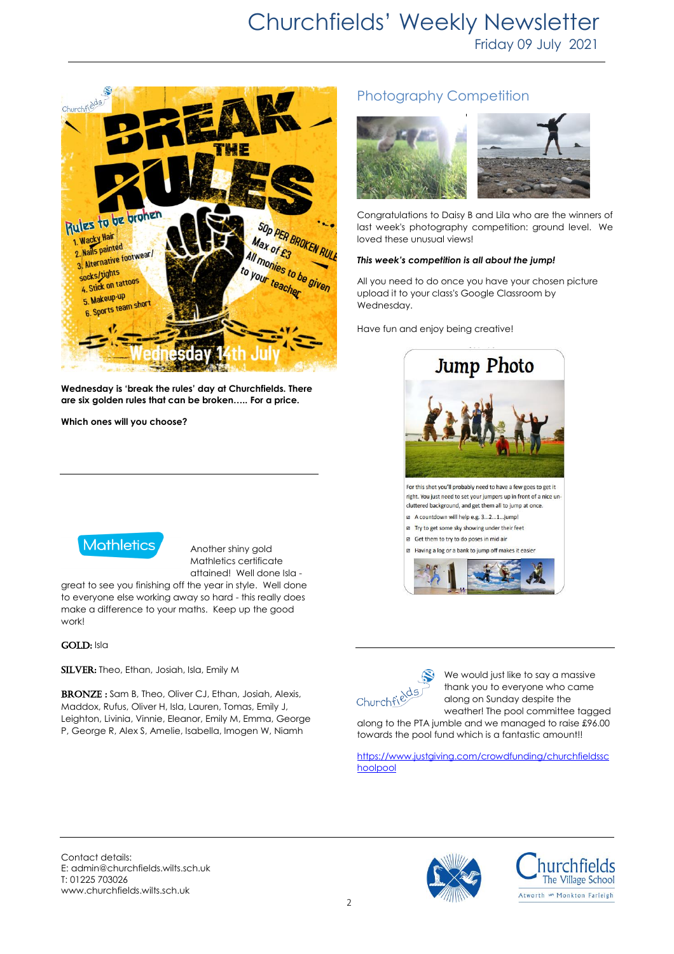

**Wednesday is 'break the rules' day at Churchfields. There are six golden rules that can be broken….. For a price.** 

**Which ones will you choose?** 



Another shiny gold Mathletics certificate attained! Well done Isla -

great to see you finishing off the year in style. Well done to everyone else working away so hard - this really does make a difference to your maths. Keep up the good work!

#### GOLD: Isla

SILVER: Theo, Ethan, Josiah, Isla, Emily M

BRONZE: Sam B, Theo, Oliver CJ, Ethan, Josiah, Alexis, Maddox, Rufus, Oliver H, Isla, Lauren, Tomas, Emily J, Leighton, Livinia, Vinnie, Eleanor, Emily M, Emma, George P, George R, Alex S, Amelie, Isabella, Imogen W, Niamh

## Photography Competition



Congratulations to Daisy B and Lila who are the winners of last week's photography competition: ground level. We loved these unusual views!

#### *This week's competition is all about the jump!*

All you need to do once you have your chosen picture upload it to your class's Google Classroom by Wednesday.

Have fun and enjoy being creative!





We would just like to say a massive thank you to everyone who came along on Sunday despite the weather! The pool committee tagged

along to the PTA jumble and we managed to raise £96.00 towards the pool fund which is a fantastic amount!!

[https://www.justgiving.com/crowdfunding/churchfieldssc](https://www.justgiving.com/crowdfunding/churchfieldsschoolpool) [hoolpool](https://www.justgiving.com/crowdfunding/churchfieldsschoolpool)

Contact details: E: admin@churchfields.wilts.sch.uk T: 01225 703026 www.churchfields.wilts.sch.uk



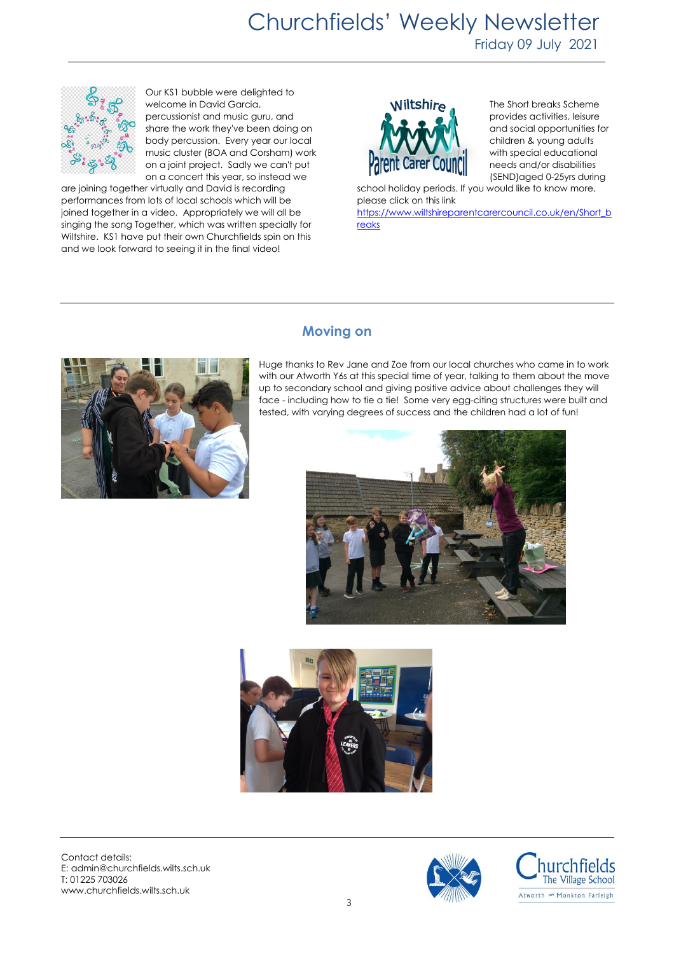# Churchfields' Weekly Newsletter

Friday 09 July 2021



Our KS1 bubble were delighted to welcome in David Garcia, percussionist and music guru, and share the work they've been doing on body percussion. Every year our local music cluster (BOA and Corsham) work on a joint project. Sadly we can't put on a concert this year, so instead we

are joining together virtually and David is recording performances from lots of local schools which will be joined together in a video. Appropriately we will all be singing the song Together, which was written specially for Wiltshire. KS1 have put their own Churchfields spin on this and we look forward to seeing it in the final video!



The Short breaks Scheme provides activities, leisure and social opportunities for children & young adults with special educational needs and/or disabilities (SEND)aged 0-25yrs during

school holiday periods. If you would like to know more, please click on this link

[https://www.wiltshireparentcarercouncil.co.uk/en/Short\\_b](https://www.wiltshireparentcarercouncil.co.uk/en/Short_breaks) [reaks](https://www.wiltshireparentcarercouncil.co.uk/en/Short_breaks)



### **Moving on**

Huge thanks to Rev Jane and Zoe from our local churches who came in to work with our Atworth Y6s at this special time of year, talking to them about the move up to secondary school and giving positive advice about challenges they will face - including how to tie a tie! Some very egg-citing structures were built and tested, with varying degrees of success and the children had a lot of fun!





Contact details: E: admin@churchfields.wilts.sch.uk T: 01225 703026 www.churchfields.wilts.sch.uk